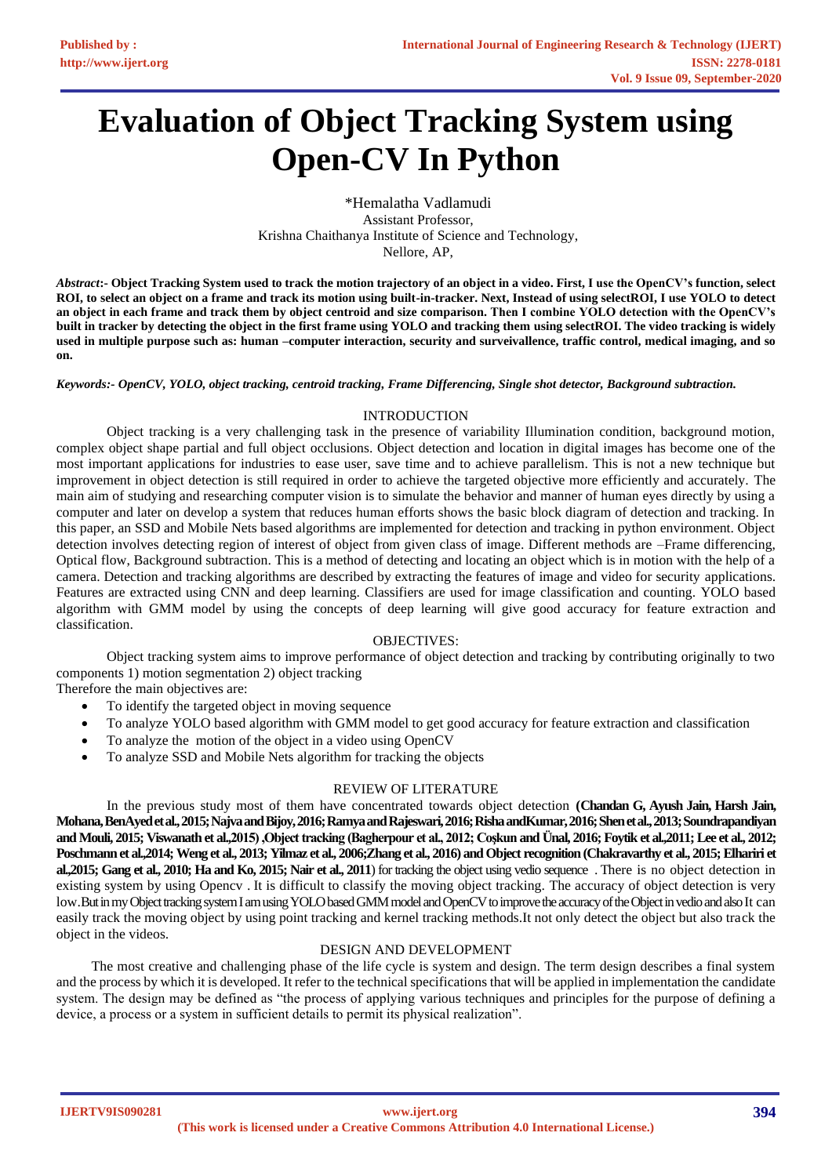# **Evaluation of Object Tracking System using Open-CV In Python**

\*Hemalatha Vadlamudi Assistant Professor, Krishna Chaithanya Institute of Science and Technology, Nellore, AP,

*Abstract***:- Object Tracking System used to track the motion trajectory of an object in a video. First, I use the OpenCV's function, select ROI, to select an object on a frame and track its motion using built-in-tracker. Next, Instead of using selectROI, I use YOLO to detect an object in each frame and track them by object centroid and size comparison. Then I combine YOLO detection with the OpenCV's built in tracker by detecting the object in the first frame using YOLO and tracking them using selectROI. The video tracking is widely used in multiple purpose such as: human –computer interaction, security and surveivallence, traffic control, medical imaging, and so on.**

*Keywords:- OpenCV, YOLO, object tracking, centroid tracking, Frame Differencing, Single shot detector, Background subtraction.*

## INTRODUCTION

Object tracking is a very challenging task in the presence of variability Illumination condition, background motion, complex object shape partial and full object occlusions. Object detection and location in digital images has become one of the most important applications for industries to ease user, save time and to achieve parallelism. This is not a new technique but improvement in object detection is still required in order to achieve the targeted objective more efficiently and accurately. The main aim of studying and researching computer vision is to simulate the behavior and manner of human eyes directly by using a computer and later on develop a system that reduces human efforts shows the basic block diagram of detection and tracking. In this paper, an SSD and Mobile Nets based algorithms are implemented for detection and tracking in python environment. Object detection involves detecting region of interest of object from given class of image. Different methods are –Frame differencing, Optical flow, Background subtraction. This is a method of detecting and locating an object which is in motion with the help of a camera. Detection and tracking algorithms are described by extracting the features of image and video for security applications. Features are extracted using CNN and deep learning. Classifiers are used for image classification and counting. YOLO based algorithm with GMM model by using the concepts of deep learning will give good accuracy for feature extraction and classification.

## OBJECTIVES:

Object tracking system aims to improve performance of object detection and tracking by contributing originally to two components 1) motion segmentation 2) object tracking

Therefore the main objectives are:

- To identify the targeted object in moving sequence
- To analyze YOLO based algorithm with GMM model to get good accuracy for feature extraction and classification
- To analyze the motion of the object in a video using OpenCV
- To analyze SSD and Mobile Nets algorithm for tracking the objects

## REVIEW OF LITERATURE

In the previous study most of them have concentrated towards object detection **(Chandan G, Ayush Jain, Harsh Jain, Mohana, BenAyed et al., 2015; Najva and Bijoy, 2016; Ramya and Rajeswari, 2016; Risha andKumar, 2016; Shen et al., 2013; Soundrapandiyan and Mouli, 2015; Viswanath et al.,2015) ,Object tracking (Bagherpour et al., 2012; Coşkun and Ünal, 2016; Foytik et al.,2011; Lee et al., 2012; Poschmann et al.,2014; Weng et al., 2013; Yilmaz et al., 2006;Zhang et al., 2016) and Object recognition (Chakravarthy et al., 2015; Elhariri et al.,2015; Gang et al., 2010; Ha and Ko, 2015; Nair et al., 2011**) for tracking the object using vedio sequence . There is no object detection in existing system by using Opencv . It is difficult to classify the moving object tracking. The accuracy of object detection is very low.But in my Object tracking system I am using YOLO based GMM model and OpenCV to improve the accuracy of the Object in vedio and also It can easily track the moving object by using point tracking and kernel tracking methods.It not only detect the object but also track the object in the videos.

## DESIGN AND DEVELOPMENT

The most creative and challenging phase of the life cycle is system and design. The term design describes a final system and the process by which it is developed. It refer to the technical specifications that will be applied in implementation the candidate system. The design may be defined as "the process of applying various techniques and principles for the purpose of defining a device, a process or a system in sufficient details to permit its physical realization".

**IJERTV9IS090281**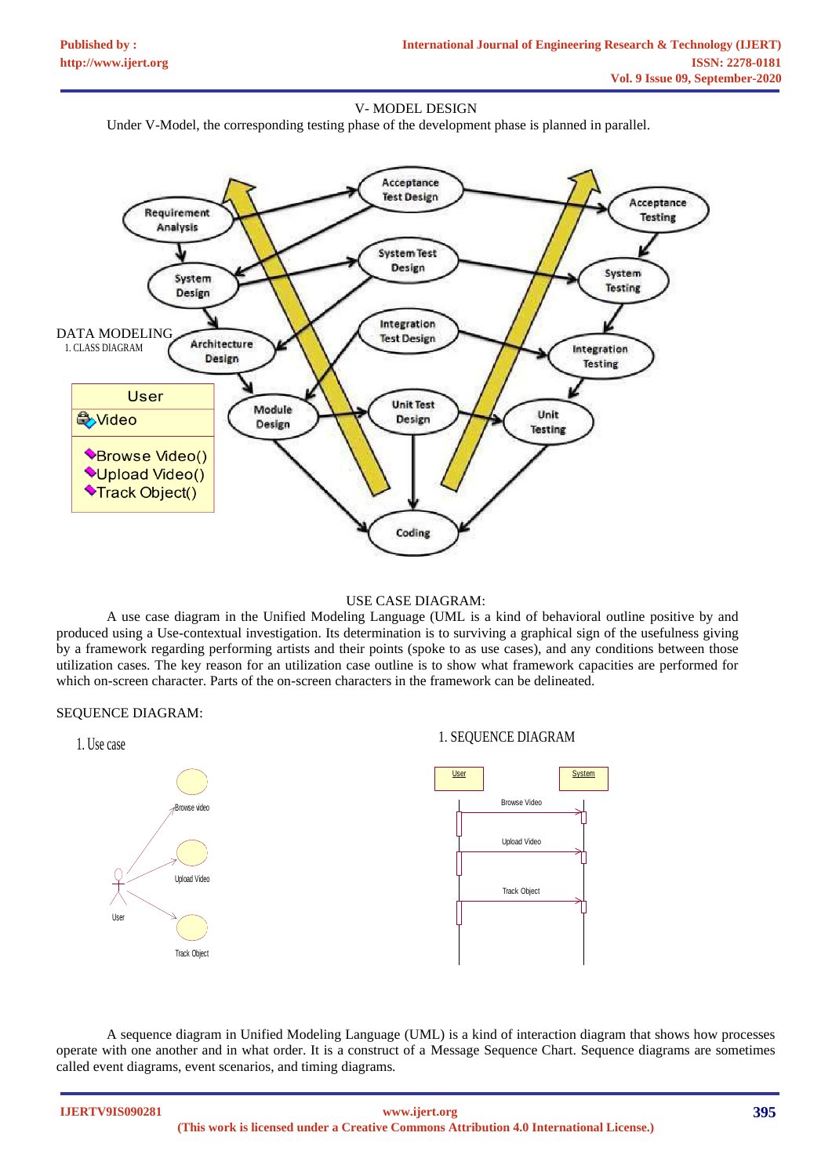### V- MODEL DESIGN

Under V-Model, the corresponding testing phase of the development phase is planned in parallel.



#### USE CASE DIAGRAM:

A use case diagram in the Unified Modeling Language (UML is a kind of behavioral outline positive by and produced using a Use-contextual investigation. Its determination is to surviving a graphical sign of the usefulness giving by a framework regarding performing artists and their points (spoke to as use cases), and any conditions between those utilization cases. The key reason for an utilization case outline is to show what framework capacities are performed for which on-screen character. Parts of the on-screen characters in the framework can be delineated.

## SEQUENCE DIAGRAM:



A sequence diagram in Unified Modeling Language (UML) is a kind of interaction diagram that shows how processes operate with one another and in what order. It is a construct of a Message Sequence Chart. Sequence diagrams are sometimes called event diagrams, event scenarios, and timing diagrams.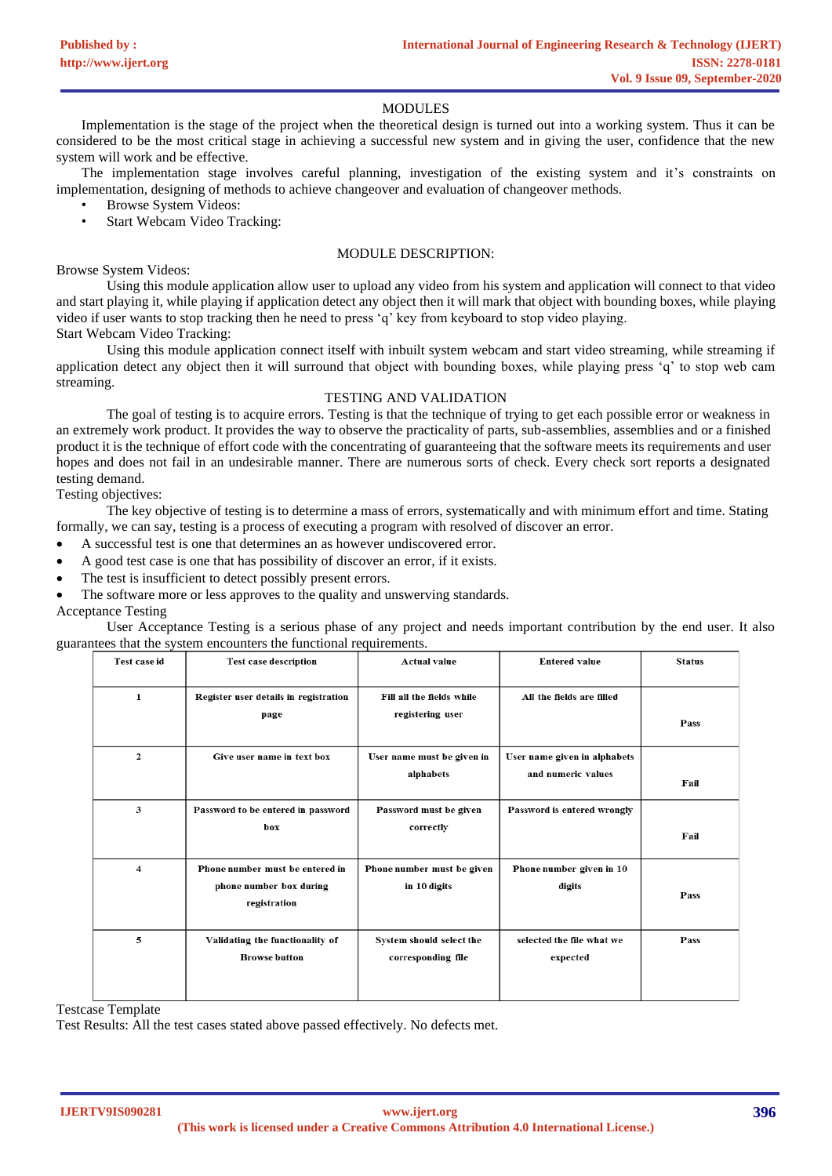#### MODULES

Implementation is the stage of the project when the theoretical design is turned out into a working system. Thus it can be considered to be the most critical stage in achieving a successful new system and in giving the user, confidence that the new system will work and be effective.

The implementation stage involves careful planning, investigation of the existing system and it's constraints on implementation, designing of methods to achieve changeover and evaluation of changeover methods.

- Browse System Videos:
- Start Webcam Video Tracking:

#### MODULE DESCRIPTION:

Browse System Videos:

Using this module application allow user to upload any video from his system and application will connect to that video and start playing it, while playing if application detect any object then it will mark that object with bounding boxes, while playing video if user wants to stop tracking then he need to press 'q' key from keyboard to stop video playing. Start Webcam Video Tracking:

Using this module application connect itself with inbuilt system webcam and start video streaming, while streaming if application detect any object then it will surround that object with bounding boxes, while playing press 'q' to stop web cam streaming.

## TESTING AND VALIDATION

The goal of testing is to acquire errors. Testing is that the technique of trying to get each possible error or weakness in an extremely work product. It provides the way to observe the practicality of parts, sub-assemblies, assemblies and or a finished product it is the technique of effort code with the concentrating of guaranteeing that the software meets its requirements and user hopes and does not fail in an undesirable manner. There are numerous sorts of check. Every check sort reports a designated testing demand.

Testing objectives:

The key objective of testing is to determine a mass of errors, systematically and with minimum effort and time. Stating formally, we can say, testing is a process of executing a program with resolved of discover an error.

- A successful test is one that determines an as however undiscovered error.
- A good test case is one that has possibility of discover an error, if it exists.
- The test is insufficient to detect possibly present errors.
- The software more or less approves to the quality and unswerving standards.

#### Acceptance Testing

User Acceptance Testing is a serious phase of any project and needs important contribution by the end user. It also guarantees that the system encounters the functional requirements.

| Test case id            | <b>Test case description</b>                                               | <b>Actual value</b>                            | <b>Entered value</b>                               | <b>Status</b> |
|-------------------------|----------------------------------------------------------------------------|------------------------------------------------|----------------------------------------------------|---------------|
| $\mathbf{1}$            | Register user details in registration<br>page                              | Fill all the fields while<br>registering user  | All the fields are filled                          | Pass          |
| $\mathbf{2}$            | Give user name in text box                                                 | User name must be given in<br>alphabets        | User name given in alphabets<br>and numeric values | Fail          |
| 3                       | Password to be entered in password<br>box                                  | Password must be given<br>correctly            | Password is entered wrongly                        | Fail          |
| $\overline{\mathbf{4}}$ | Phone number must be entered in<br>phone number box during<br>registration | Phone number must be given<br>in 10 digits     | Phone number given in 10<br>digits                 | Pass          |
| 5                       | Validating the functionality of<br><b>Browse button</b>                    | System should select the<br>corresponding file | selected the file what we<br>expected              | Pass          |

Testcase Template

Test Results: All the test cases stated above passed effectively. No defects met.

**IJERTV9IS090281**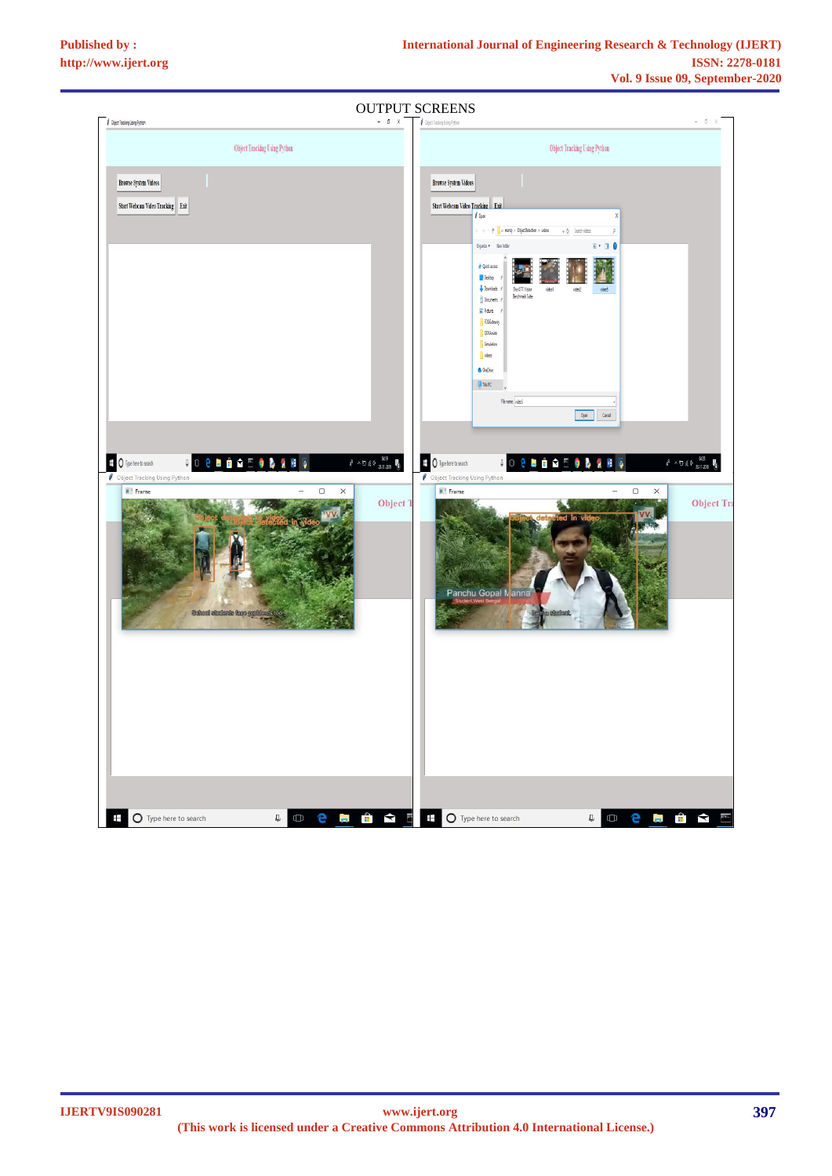| <b>OUTPUT SCREENS</b>                                                                                                                                                                                                                                               |                                                                                                                                                                                                        |  |  |  |  |
|---------------------------------------------------------------------------------------------------------------------------------------------------------------------------------------------------------------------------------------------------------------------|--------------------------------------------------------------------------------------------------------------------------------------------------------------------------------------------------------|--|--|--|--|
| $-0$ X<br>$\rlap{/}{\rlap{/\hskip-2pt /}}$ Object Tracking Using Python                                                                                                                                                                                             | Chiect Tracking Using Python<br>đ                                                                                                                                                                      |  |  |  |  |
| Object Tracking Using Python                                                                                                                                                                                                                                        | <b>Object Tracking Using Python</b>                                                                                                                                                                    |  |  |  |  |
| <b>Browse System Videos</b>                                                                                                                                                                                                                                         | <b>Browse System Videos</b>                                                                                                                                                                            |  |  |  |  |
| Start Webcam Video Tracking Exit                                                                                                                                                                                                                                    | Start Webcam Video Tracking Exit<br>$\sqrt{0}$ pen<br>X                                                                                                                                                |  |  |  |  |
|                                                                                                                                                                                                                                                                     | $v$ $\delta$ Seathvideos<br>$\rho$<br>$E \cdot 10$<br>Organize * Newfolder                                                                                                                             |  |  |  |  |
|                                                                                                                                                                                                                                                                     | <b>A</b> Quick access<br><b>Desictop</b><br>$\n  Domicats\n $<br>The KITTI Vision<br>video1<br>video?<br>ideó<br>Berchmark Suite<br><b>B</b> Documents #                                               |  |  |  |  |
|                                                                                                                                                                                                                                                                     | $\mathbb{E}$ Pictures<br>FOGGateway<br><b>QOSAnare</b>                                                                                                                                                 |  |  |  |  |
|                                                                                                                                                                                                                                                                     | Smulation<br>$\sqrt{v}$ videos<br><b>6</b> OneDrive                                                                                                                                                    |  |  |  |  |
|                                                                                                                                                                                                                                                                     | $\underline{\square}$ This PC.                                                                                                                                                                         |  |  |  |  |
|                                                                                                                                                                                                                                                                     | Fienane video5<br>Open Cancel                                                                                                                                                                          |  |  |  |  |
|                                                                                                                                                                                                                                                                     |                                                                                                                                                                                                        |  |  |  |  |
| $g^0 \ \wedge \, \oplus \, g \, \oplus \, \underset{B\text{-}\mathrm{H}\text{-}\mathrm{d}\mathrm{H}\text{-}\mathrm{d}}{\mathrm{d} s \, g} \ \ \P^0_0$<br>$\boxplus$ $\bigcirc$ Type here to search<br><b>JO 8 N A Q</b><br>N<br><b>Object Tracking Using Python</b> | $g^0 \ \wedge \, \text{in} \ \# \, 4 \times \, \frac{0420}{25 \cdot 11 \cdot 2019}$<br>$\overline{+}$ $\overline{0}$ Type here to search<br>106H<br>ā<br>Ñ<br>÷<br><b>Object Tracking Using Python</b> |  |  |  |  |
| Frame<br>$\Box$<br>$\times$<br><b>Object T</b>                                                                                                                                                                                                                      | Frame<br>$\Box$<br>$\times$<br><b>Object Tra</b>                                                                                                                                                       |  |  |  |  |
|                                                                                                                                                                                                                                                                     | Panchu Gopal Manna                                                                                                                                                                                     |  |  |  |  |
| School students have problems too.                                                                                                                                                                                                                                  | student                                                                                                                                                                                                |  |  |  |  |
|                                                                                                                                                                                                                                                                     |                                                                                                                                                                                                        |  |  |  |  |
|                                                                                                                                                                                                                                                                     |                                                                                                                                                                                                        |  |  |  |  |
|                                                                                                                                                                                                                                                                     |                                                                                                                                                                                                        |  |  |  |  |
|                                                                                                                                                                                                                                                                     |                                                                                                                                                                                                        |  |  |  |  |
| $\frac{1}{2}$<br>Ŧ<br>$\mathbb Q$<br>O Type here to search<br>$\Box$<br>e<br>Ĩ.                                                                                                                                                                                     | <b>II</b><br>$\blacktriangle$<br>$\pm$<br>$rac{1}{2}$<br>O Type here to search<br>$\cup$<br>$\Box$<br>e<br>Îп.                                                                                         |  |  |  |  |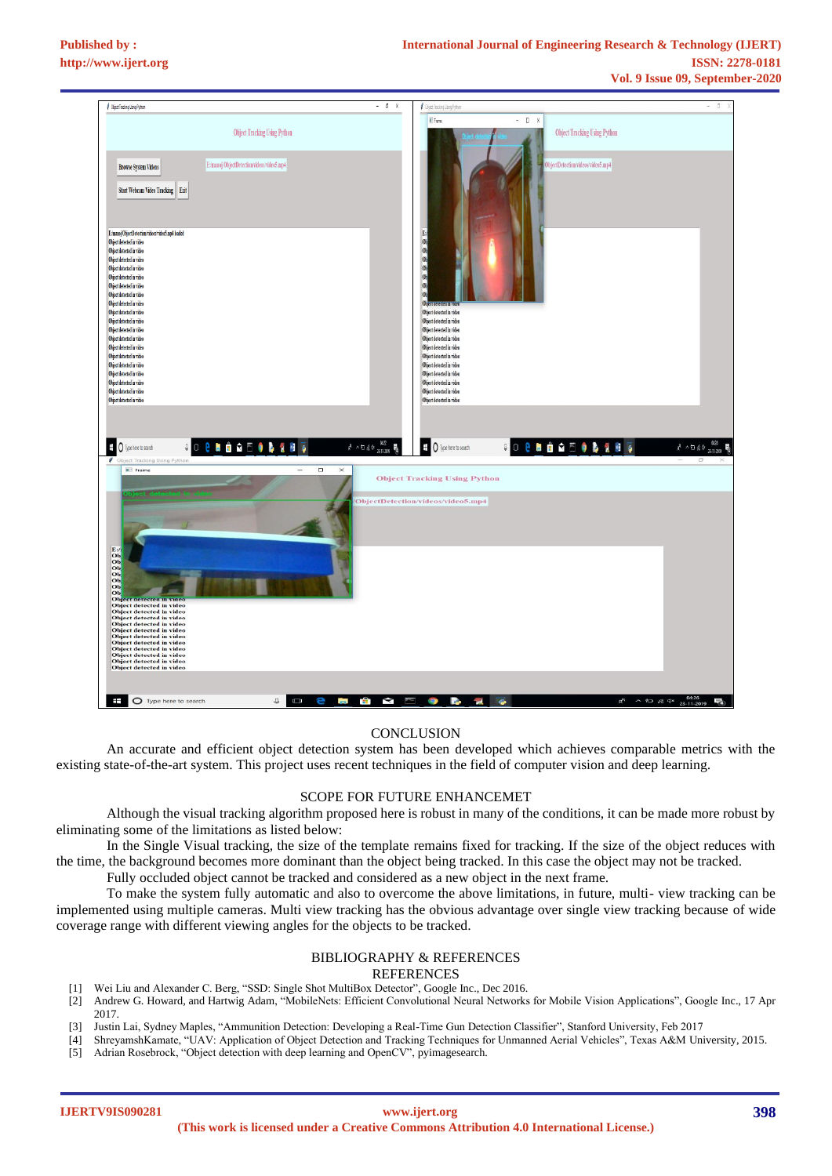

#### **CONCLUSION**

An accurate and efficient object detection system has been developed which achieves comparable metrics with the existing state-of-the-art system. This project uses recent techniques in the field of computer vision and deep learning.

#### SCOPE FOR FUTURE ENHANCEMET

Although the visual tracking algorithm proposed here is robust in many of the conditions, it can be made more robust by eliminating some of the limitations as listed below:

In the Single Visual tracking, the size of the template remains fixed for tracking. If the size of the object reduces with the time, the background becomes more dominant than the object being tracked. In this case the object may not be tracked.

Fully occluded object cannot be tracked and considered as a new object in the next frame.

To make the system fully automatic and also to overcome the above limitations, in future, multi- view tracking can be implemented using multiple cameras. Multi view tracking has the obvious advantage over single view tracking because of wide coverage range with different viewing angles for the objects to be tracked.

## BIBLIOGRAPHY & REFERENCES

#### **REFERENCES**

- [1] Wei Liu and Alexander C. Berg, "SSD: Single Shot MultiBox Detector", Google Inc., Dec 2016.
- [2] Andrew G. Howard, and Hartwig Adam, "MobileNets: Efficient Convolutional Neural Networks for Mobile Vision Applications", Google Inc., 17 Apr 2017.
- [3] Justin Lai, Sydney Maples, "Ammunition Detection: Developing a Real-Time Gun Detection Classifier", Stanford University, Feb 2017
- [4] ShreyamshKamate, "UAV: Application of Object Detection and Tracking Techniques for Unmanned Aerial Vehicles", Texas A&M University, 2015.
- [5] Adrian Rosebrock, "Object detection with deep learning and OpenCV", pyimagesearch.

**IJERTV9IS090281**